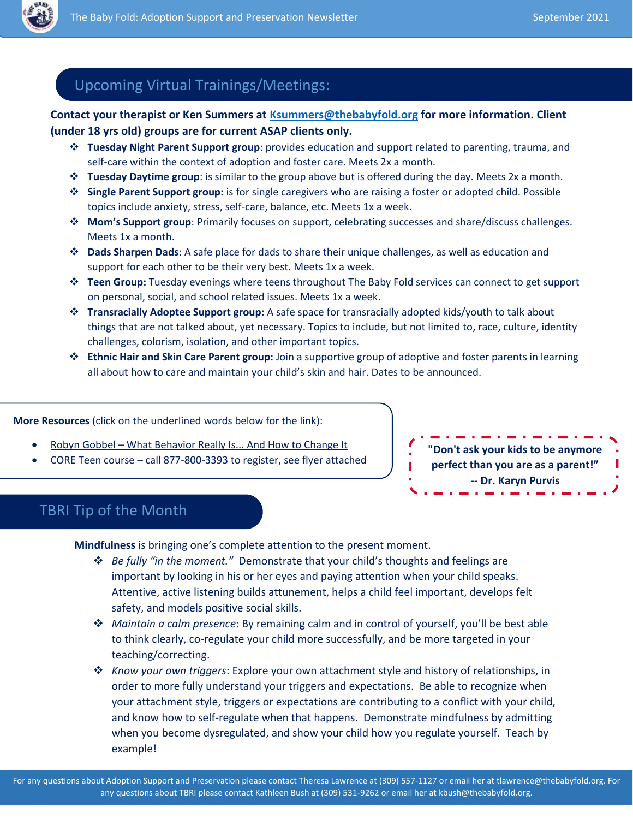

## Upcoming Virtual Trainings/Meetings:

#### **Contact your therapist or Ken Summers at [Ksummers@thebabyfold.org](mailto:Ksummers@thebabyfold.org) for more information. Client (under 18 yrs old) groups are for current ASAP clients only.**

- **Tuesday Night Parent Support group**: provides education and support related to parenting, trauma, and self-care within the context of adoption and foster care. Meets 2x a month.
- **Tuesday Daytime group**: is similar to the group above but is offered during the day. Meets 2x a month.
- **Single Parent Support group:** is for single caregivers who are raising a foster or adopted child. Possible topics include anxiety, stress, self-care, balance, etc. Meets 1x a week.
- **Mom's Support group**: Primarily focuses on support, celebrating successes and share/discuss challenges. Meets 1x a month.
- **Dads Sharpen Dads**: A safe place for dads to share their unique challenges, as well as education and support for each other to be their very best. Meets 1x a week.
- **Teen Group:** Tuesday evenings where teens throughout The Baby Fold services can connect to get support on personal, social, and school related issues. Meets 1x a week.
- **Transracially Adoptee Support group:** A safe space for transracially adopted kids/youth to talk about things that are not talked about, yet necessary. Topics to include, but not limited to, race, culture, identity challenges, colorism, isolation, and other important topics.
- **Ethnic Hair and Skin Care Parent group:** Join a supportive group of adoptive and foster parents in learning all about how to care and maintain your child's skin and hair. Dates to be announced.

**More Resources** (click on the underlined words below for the link):

- Robyn Gobbel [What Behavior Really Is... And How to Change It](https://robyngobbel.com/course/regulationconnectionfeltsafety/)
- CORE Teen course call 877-800-3393 to register, see flyer attached

**"Don't ask your kids to be anymore perfect than you are as a parent!" -- Dr. Karyn Purvis**

### TBRI Tip of the Month

**Mindfulness** is bringing one's complete attention to the present moment.

- *Be fully "in the moment."* Demonstrate that your child's thoughts and feelings are important by looking in his or her eyes and paying attention when your child speaks. Attentive, active listening builds attunement, helps a child feel important, develops felt safety, and models positive social skills.
- *Maintain a calm presence*: By remaining calm and in control of yourself, you'll be best able to think clearly, co-regulate your child more successfully, and be more targeted in your teaching/correcting.
- *Know your own triggers*: Explore your own attachment style and history of relationships, in order to more fully understand your triggers and expectations. Be able to recognize when your attachment style, triggers or expectations are contributing to a conflict with your child, and know how to self-regulate when that happens. Demonstrate mindfulness by admitting when you become dysregulated, and show your child how you regulate yourself. Teach by example!

For any questions about Adoption Support and Preservation please contact Theresa Lawrence at (309) 557-1127 or email her at tlawrence@thebabyfold.org. For any questions about TBRI please contact Kathleen Bush at (309) 531-9262 or email her at kbush@thebabyfold.org.